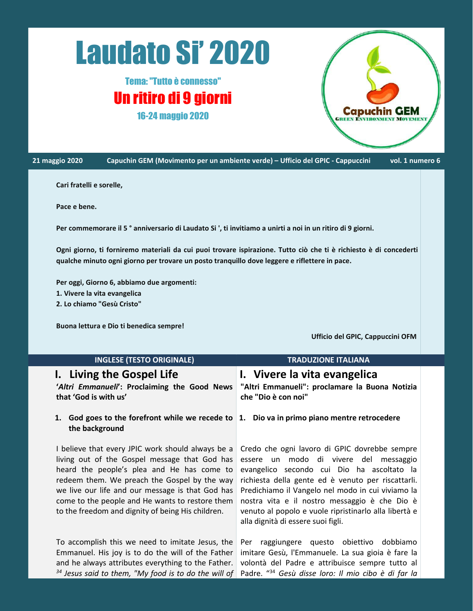# Laudato Si' 2020

## Tema:"Tutto è connesso" Un ritiro di 9 giorni 16-24 maggio 2020



21 maggio 2020 Capuchin GEM (Movimento per un ambiente verde) – Ufficio del GPIC - Cappuccini vol. 1 numero 6

#### **Cari fratelli e sorelle,**

**Pace e bene.**

Per commemorare il 5<sup>°</sup> anniversario di Laudato Si ', ti invitiamo a unirti a noi in un ritiro di 9 giorni.

Ogni giorno, ti forniremo materiali da cui puoi trovare ispirazione. Tutto ciò che ti è richiesto è di concederti **qualche minuto ogni giorno per trovare un posto tranquillo dove leggere e riflettere in pace.**

**Per oggi, Giorno 6, abbiamo due argomenti: 1. Vivere la vita evangelica**

**2. Lo chiamo "Gesù Cristo"**

**Buona lettura e Dio ti benedica sempre!**

**Ufficio del GPIC, Cappuccini OFM**

| <b>INGLESE (TESTO ORIGINALE)</b>                                                            | <b>TRADUZIONE ITALIANA</b>                                            |
|---------------------------------------------------------------------------------------------|-----------------------------------------------------------------------|
| I. Living the Gospel Life                                                                   | I. Vivere la vita evangelica                                          |
| 'Altri Emmanueli': Proclaiming the Good News<br>that 'God is with us'                       | "Altri Emmanueli": proclamare la Buona Notizia<br>che "Dio è con noi" |
| 1. God goes to the forefront while we recede to 1. Dio va in primo piano mentre retrocedere |                                                                       |

## **the background**

living out of the Gospel message that God has heard the people's plea and He has come to redeem them. We preach the Gospel by the way we live our life and our message is that God has come to the people and He wants to restore them to the freedom and dignity of being His children.

To accomplish this we need to imitate Jesus, the Emmanuel. His joy is to do the will of the Father and he always attributes everything to the Father.  $34$  Jesus said to them, "My food is to do the will of Padre.  $^{434}$  Gesù disse loro: Il mio cibo è di far la strand the stra

## **1. Dio va in primo piano mentre retrocedere**

I believe that every JPIC work should always be a Credo che ogni lavoro di GPIC dovrebbe sempre essere un modo di vivere del messaggio evangelico secondo cui Dio ha ascoltato la richiesta della gente ed è venuto per riscattarli. Predichiamo il Vangelo nel modo in cui viviamo la nostra vita e il nostro messaggio è che Dio è venuto al popolo e vuole ripristinarlo alla libertà e alla dignità di essere suoi figli.

> Per raggiungere questo obiettivo dobbiamo imitare Gesù, l'Emmanuele. La sua gioia è fare la volontà del Padre e attribuisce sempre tutto al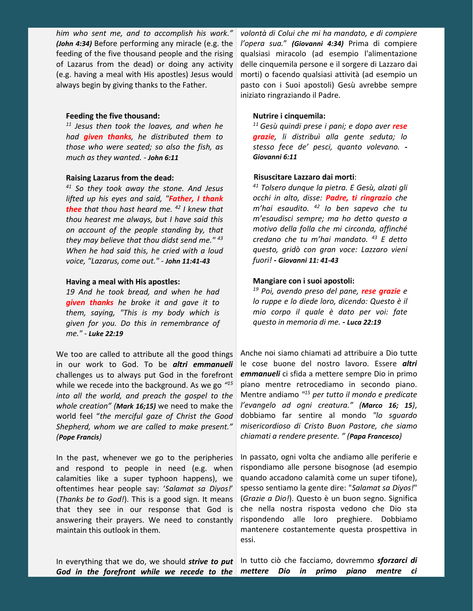*him who sent me, and to accomplish his work." (John 4:34)* Before performing any miracle (e.g. the feeding of the five thousand people and the rising of Lazarus from the dead) or doing any activity (e.g. having a meal with His apostles) Jesus would always begin by giving thanks to the Father.

#### **Feeding the five thousand:**

*11 Jesus then took the loaves, and when he had given thanks, he distributed them to those who were seated; so also the fish, as much as they wanted. - John 6:11*

#### **Raising Lazarus from the dead:**

*<sup>41</sup> So they took away the stone. And Jesus lifted up his eyes and said, "Father, I thank thee that thou hast heard me. <sup>42</sup> thou hearest me always, but I have said this on account of the people standing by, that they may believe that thou didst send me." When he had said this, he cried with a loud voice, "Lazarus, come out." - John 11:41-43*

#### **Having a meal with His apostles:**

*19 And he took bread, and when he had given thanks he broke it and gave it to them, saying, "This is my body which is given for you. Do this in remembrance of me." - Luke 22:19*

We too are called to attribute all the good things in our work to God. To be *altri emmanueli* challenges us to always put God in the forefront while we recede into the background. As we go *" into all the world, and preach the gospel to the whole creation" (Mark 16;15)* we need to make the world feel "*the merciful gaze of Christ the Good Shepherd, whom we are called to make present." (Pope Francis)*

In the past, whenever we go to the peripheries and respond to people in need (e.g. when calamities like a super typhoon happens), we oftentimes hear people say: '*Salamat sa Diyos!*' (*Thanks be to God!*). This is a good sign. It means that they see in our response that God is answering their prayers. We need to constantly maintain this outlook in them.

*volontà di Colui che mi ha mandato, e di compiere l'opera sua.*" *(Giovanni 4:34)* Prima di compiere qualsiasi miracolo (ad esempio l'alimentazione delle cinquemila persone e il sorgere di Lazzaro dai morti) o facendo qualsiasi attività (ad esempio un pasto con i Suoi apostoli) Gesù avrebbe sempre iniziato ringraziando il Padre.

#### **Nutrire i cinquemila:**

*<sup>11</sup> Gesù quindi prese i pani; e dopo aver rese grazie, li distribuì alla gente seduta; lo stesso fece de' pesci, quanto volevano.* **-** *Giovanni 6:11*

#### **Risuscitare Lazzaro dai morti**:

*I knew that m'hai esaudito. <sup>42</sup> Io ben sapevo che tu 43 credano che tu m'hai mandato. <sup>43</sup> E detto <sup>41</sup> Tolsero dunque la pietra. E Gesù, alzati gli occhi in alto, disse: Padre, ti ringrazio che m'esaudisci sempre; ma ho detto questo a motivo della folla che mi circonda, affinché questo, gridò con gran voce: Lazzaro vieni fuori! - Giovanni 11: 41-43*

#### **Mangiare con i suoi apostoli:**

*<sup>19</sup> Poi, avendo preso del pane, rese grazie e lo ruppe e lo diede loro, dicendo: Questo è il mio corpo il quale è dato per voi: fate questo in memoria di me. - Luca 22:19*

*15* piano mentre retrocediamo in secondo piano. Anche noi siamo chiamati ad attribuire a Dio tutte le cose buone del nostro lavoro. Essere *altri emmanueli* ci sfida a mettere sempre Dio in primo Mentre andiamo *" <sup>15</sup> per tutto il mondo epredicate l'evangelo ad ogni creatura." (Marco 16; 15)*, dobbiamo far sentire al mondo *"lo sguardo misericordioso di Cristo Buon Pastore, che siamo chiamati a rendere presente. " (Papa Francesco)*

In passato, ogni volta che andiamo alle periferie e rispondiamo alle persone bisognose (ad esempio quando accadono calamità come un super tifone), spesso sentiamo lagente dire: "*Salamat sa Diyos!*" (*Grazie a Dio!*). Questo è un buon segno. Significa che nella nostra risposta vedono che Dio sta rispondendo alle loro preghiere. Dobbiamo mantenere costantemente questa prospettiva in essi.

In everything that we do, we should *strive to put God in the forefront while we recede to the* In tutto ciò che facciamo, dovremmo *sforzarci di mettere Dio in primo piano mentre ci*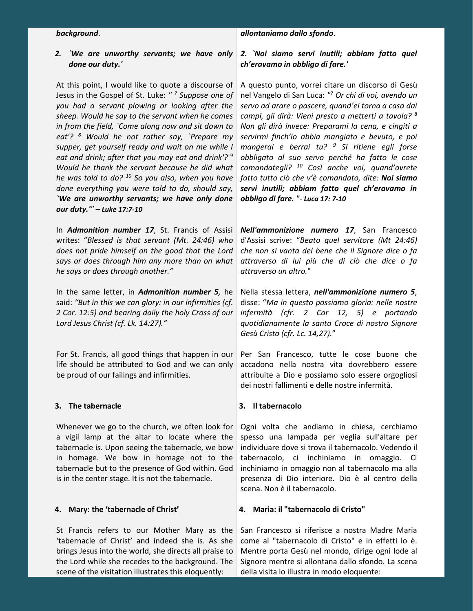#### *background*.

#### *allontaniamo dallo sfondo*.

#### *2. `We are unworthy servants; we have only done our duty.'*

At this point, I would like to quote a discourse of A questo punto, vorrei citare un discorso di Gesù Jesus in the Gospel of St. Luke: *" <sup>7</sup> Suppose one of you had a servant plowing or looking after the sheep. Would he say to the servant when he comes in from the field, `Come along now and sit down to eat'? <sup>8</sup> Would he not rather say, `Prepare my supper, get yourself ready and wait on me while I eat and drink; after that you may eat and drink'? Would he thank the servant because he did what he was told to do? <sup>10</sup> So you also, when you have done everything you were told to do, should say, `We are unworthy servants; we have only done our duty.'" – Luke 17:7-10*

In *Admonition number 17*, St. Francis of Assisi writes: "*Blessed is that servant (Mt. 24:46) who does not pride himselfon the good that the Lord says or does through him any more than on what he says or does through another."*

In the same letter, in *Admonition number 5,* he said: *"But in this we can glory: in our infirmities (cf. 2 Cor. 12:5) and bearing daily the holy Cross of our Lord Jesus Christ (cf.Lk. 14:27)."*

For St. Francis, all good things that happen in our life should be attributed to God and we can only be proud of our failings and infirmities.

#### **3. The tabernacle**

Whenever we go to the church, we often look for a vigil lamp at the altar to locate where the tabernacle is. Upon seeing the tabernacle, we bow in homage. We bow in homage not to the tabernacle but to the presence of God within. God is in the center stage. It is not the tabernacle.

#### **4. Mary: the 'tabernacle of Christ'**

'tabernacle of Christ' and indeed she is. As she brings Jesus into the world, she directs all praise to the Lord while she recedes to the background. The scene of the visitation illustrates this eloquently:

#### *2. `Noi siamo servi inutili; abbiam fatto quel ch'eravamo in obbligo difare.'*

*9 obbligato al suo servo perché ha fatto le cose* nel Vangelo di San Luca: *" <sup>7</sup> Or chi di voi, avendo un servo ad arare o pascere,quand'ei torna a casa dai campi, gli dirà: Vieni presto a metterti a tavola? 8 Non gli dirà invece: Preparami la cena, e cingiti a servirmi finch'io abbia mangiato e bevuto, e poi mangerai e berrai tu? <sup>9</sup> Si ritiene egli forse comandategli? <sup>10</sup> Così anche voi, quand'avrete fatto tutto ciò che v'è comandato, dite: Noi siamo servi inutili; abbiam fatto quel ch'eravamo in obbligo di fare. "- Luca 17: 7-10*

*Nell'ammonizione numero 17*, San Francesco d'Assisi scrive: "*Beato quel servitore (Mt 24:46) che non si vanta del bene che il Signore dice o fa attraverso di lui più che di ciò che dice o fa attraverso un altro.*"

Nella stessa lettera, *nell'ammonizione numero 5*, disse: "*Ma in questo possiamo gloria: nelle nostre infermità (cfr. 2 Cor 12, 5) e portando quotidianamente la santa Croce di nostro Signore Gesù Cristo (cfr. Lc. 14,27).*"

Per San Francesco, tutte le cose buone che accadono nella nostra vita dovrebbero essere attribuite a Dio e possiamo solo essere orgogliosi dei nostri fallimenti e delle nostre infermità.

#### **3. Il tabernacolo**

Ogni volta che andiamo in chiesa, cerchiamo spesso una lampada per veglia sull'altare per individuare dove si trova il tabernacolo. Vedendo il tabernacolo, ci inchiniamo in omaggio. Ci inchiniamo in omaggio non al tabernacolo ma alla presenza di Dio interiore. Dio è al centro della scena. Non è il tabernacolo.

#### **4. Maria: il "tabernacolo di Cristo"**

St Francis refers to our Mother Mary as the San Francesco si riferisce a nostra Madre Maria and a strain Mentre porta Gesù nel mondo, dirige ogni lode al Signore mentre si allontana dallo sfondo. La scena della visita lo illustra in modo eloquente: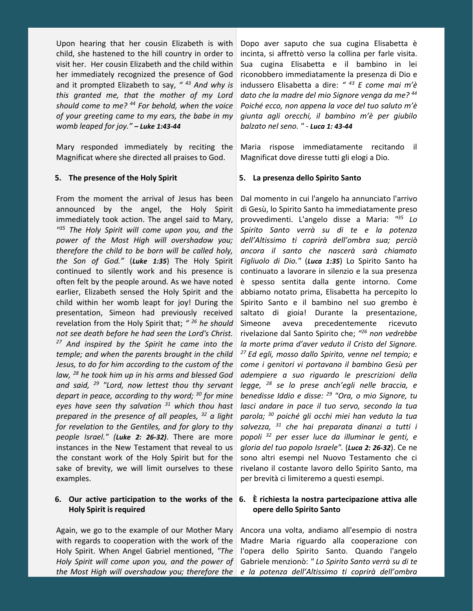Upon hearing that her cousin Elizabeth is with child, she hastened to the hill country in order to visit her. Her cousin Elizabeth and the child within her immediately recognized the presence of God and it prompted Elizabeth to say, "<sup>43</sup> And why is *this granted me, that the mother of my Lord should come to me? <sup>44</sup> For behold, when the voice of your greeting came to my ears, the babe in my womb leaped for joy." – Luke 1:43-44*

Mary responded immediately by reciting the Magnificat where she directed all praises to God.

#### **5. The presence of the Holy Spirit**

From the moment the arrival of Jesus has been announced by the angel, the Holy Spirit immediately took action. The angel said to Mary, *" <sup>35</sup> The Holy Spirit will come upon you, and the power of the Most High will overshadow you; therefore the child to be born willbe called holy, the Son of God."* (*Luke 1:35*)The Holy Spirit continued to silently work and his presence is often felt by the people around. As we have noted earlier, Elizabeth sensed the Holy Spirit and the child within her womb leapt for joy! During the presentation, Simeon had previously received revelation from the Holy Spirit that; *" not see death before he had seen the Lord's Christ. <sup>27</sup> And inspired by the Spirit he came into the temple; and when the parents brought in the child Jesus, to do for him according tothe custom of the law, <sup>28</sup> he took him up in hisarms and blessed God and said, <sup>29</sup> "Lord, now lettest thou thy servant depart in peace, according to thy word; <sup>30</sup> eyes have seen thy salvation <sup>31</sup> which thou hast prepared in the presence of all peoples, <sup>32</sup> a light for revelation to the Gentiles, and for glory to thy people Israel." (Luke 2: 26-32)*. There are more instances in the New Testament that reveal to us the constant work of the Holy Spirit but for the sake of brevity, we will limit ourselves to these examples.

#### **6. Our active participation to the works of the 6. È richiesta la nostra partecipazione attiva alle Holy Spirit is required**

Again, we go to the example of our Mother Mary with regards to cooperation with the work of the Holy Spirit. When Angel Gabriel mentioned, *"The Holy Spirit willcome upon you, and the power of*

*<sup>43</sup> And why is* indussero Elisabetta a dire: *" <sup>43</sup> E come mai m'è* Dopo aver saputo che sua cugina Elisabetta è incinta, si affrettò verso la collina per farle visita. Sua cugina Elisabetta e il bambino in lei riconobbero immediatamente la presenza di Dio e *dato che la madre del mio Signore venga da me? 44 Poiché ecco, non appena la voce del tuo saluto m'è giunta agli orecchi, il bambino m'è per giubilo balzato nel seno. " - Luca 1: 43-44*

> Maria rispose immediatamente recitando il Magnificat dove diresse tutti gli elogi a Dio.

#### **5. La presenza dello Spirito Santo**

*2* Simeone aveva *for mine benedisse Iddio e disse: <sup>29</sup> "Ora, o mio Signore, tu* Dal momento in cui l'angelo ha annunciato l'arrivo di Gesù, lo Spirito Santo ha immediatamente preso provvedimenti. L'angelo disse a Maria: *" <sup>35</sup> Lo Spirito Santo verrà su di te e la potenza dell'Altissimo ti coprirà dell'ombra sua; perciò ancora il santo che nascerà sarà chiamato Figliuolo di Dio."* (*Luca 1:35*) Lo Spirito Santo ha continuato a lavorare in silenzio e la sua presenza è spesso sentita dalla gente intorno. Come abbiamo notato prima, Elisabetta ha percepito lo Spirito Santo e il bambino nel suo grembo è saltato di gioia! Durante la presentazione, precedentemente ricevuto rivelazione dal Santo Spirito che;*" <sup>26</sup> non vedrebbe la morte prima d'aver veduto il Cristo del Signore. <sup>27</sup> Ed egli, mosso dallo Spirito, venne nel tempio; e come i genitori vi portavano il bambino Gesù per adempiere a suo riguardo le prescrizioni della legge, <sup>28</sup> se lo prese anch'egli nelle braccia, e lasci andare in pace il tuo servo, secondo la tua parola; <sup>30</sup> poiché gli occhi miei han veduto la tua salvezza, <sup>31</sup> che hai preparata dinanzi a tutti i popoli <sup>32</sup> per esser luce da illuminar le genti, e gloria del tuo popolo Israele".* (*Luca 2: 26-32*). Ce ne sono altri esempi nel Nuovo Testamento che ci rivelano il costante lavoro dello Spirito Santo, ma per brevità ci limiteremo a questi esempi.

## **opere dello Spirito Santo**

*the Most High will overshadow you; therefore the e la potenza dell'Altissimo ti coprirà dell'ombra*Ancora una volta, andiamo all'esempio di nostra Madre Maria riguardo alla cooperazione con l'opera dello Spirito Santo. Quando l'angelo Gabriele menzionò: *" Lo Spirito Santo verrà su di te*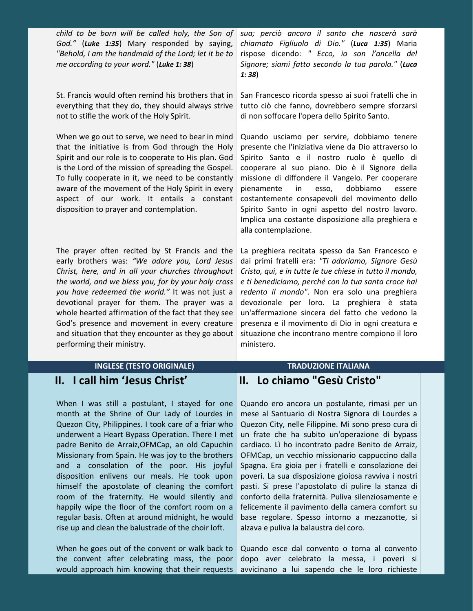child to be born will be called holy, the Son of sua; perciò ancora il santo che nascerà sarà anti a la monte *God."* (*Luke 1:35*) Mary responded by saying, *"Behold, I am the handmaid of the Lord; let it be to me according to your word."* (*Luke 1: 38*)

St. Francis would often remind his brothers that in everything that they do, they should always strive not to stifle the work of the Holy Spirit.<br>When we go out to serve, we need to bear in mind

that the initiative is from God through the Holy Spirit and our role is to cooperate to His plan. God is the Lord of the mission of spreading the Gospel. To fully cooperate in it, we need to be constantly aware of the movement of the Holy Spirit in every pienamente in aspect of our work. It entails a constant disposition to prayer and contemplation.

The prayer often recited by St Francis and the early brothers was: *"We adore you, Lord Jesus Christ, here, and in all your churches throughout the world, and we bless you, for by your holy cross you have redeemed the world."* It was not just a devotional prayer for them. The prayer was a whole hearted affirmation of the fact that they see God's presence and movement in every creature and situation that they encounter as they go about performing their ministry.

*chiamato Figliuolo di Dio."* (*Luca 1:35*) Maria rispose dicendo: *" Ecco, io son l'ancella del Signore; siami fatto secondo la tua parola."* (*Luca 1: 38*)

San Francesco ricorda spesso ai suoi fratelli che in tutto ciò che fanno, dovrebbero sempre sforzarsi di non soffocare l'opera dello Spirito Santo.

Quando usciamo per servire, dobbiamo tenere presente che l'iniziativa viene da Dio attraverso lo Spirito Santo e il nostro ruolo è quello di cooperare al suo piano. Dio è il Signore della missione di diffondere il Vangelo. Per cooperare pienamente in esso, dobbiamo essere costantemente consapevoli del movimento dello Spirito Santo in ogni aspetto del nostro lavoro. Implica una costante disposizione alla preghiera e alla contemplazione.

La preghiera recitata spesso da San Francesco e dai primi fratelli era: *"Ti adoriamo, Signore Gesù Cristo, qui, e in tutte le tue chiese in tutto il mondo, e ti benediciamo, perché con la tua santa croce hai* redento *il mondo"*. Non era solo una preghiera devozionale per loro. La preghiera è stata un'affermazione sincera del fatto che vedono la presenza e il movimento di Dio in ogni creatura e situazione che incontrano mentre compiono il loro ministero.

### **II. I call him 'Jesus Christ'**

When I was still a postulant, I stayed for one month at the Shrine of Our Lady of Lourdes in Quezon City, Philippines. I took care of a friar who underwent a Heart Bypass Operation. There I met padre Benito de Arraiz,OFMCap, an old Capuchin Missionary from Spain. He was joy to the brothers and a consolation of the poor. His joyful disposition enlivens our meals. He took upon himself the apostolate of cleaning the comfort room of the fraternity. He would silently and happily wipe the floor of the comfort room on a regular basis. Often at around midnight, he would rise up and clean the balustrade of the choir loft.

When he goes out of the convent or walk back to the convent after celebrating mass, the poor would approach him knowing that their requests

### **INGLESE (TESTO ORIGINALE) TRADUZIONE ITALIANA II. Lo chiamo "Gesù Cristo"**

Quando ero ancora un postulante, rimasi per un mese al Santuario di Nostra Signora di Lourdes a Quezon City, nelle Filippine. Mi sono preso cura di un frate che ha subito un'operazione di bypass cardiaco. Lì ho incontrato padre Benito de Arraiz, OFMCap, un vecchio missionario cappuccino dalla Spagna. Era gioia per i fratelli e consolazione dei poveri. La sua disposizione gioiosa ravviva i nostri pasti. Si prese l'apostolato di pulire la stanza di conforto della fraternità. Puliva silenziosamente e felicemente il pavimento della camera comfort su base regolare. Spesso intorno a mezzanotte, si alzava e puliva la balaustra del coro.

Quando esce dal convento o torna al convento dopo aver celebrato la messa, i poveri si avvicinano a lui sapendo che le loro richieste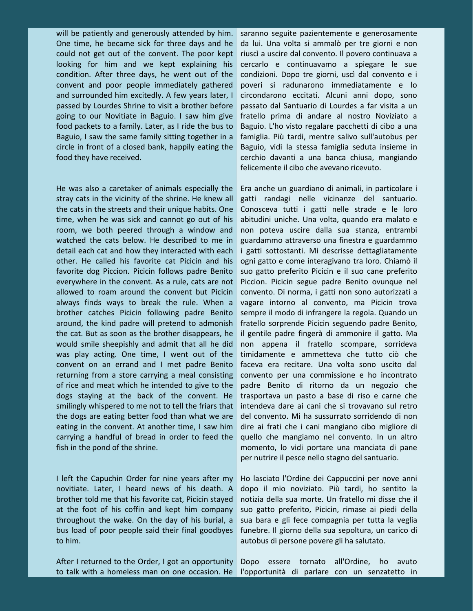will be patiently and generously attended by him. One time, he became sick for three days and he could not get out of the convent. The poor kept looking for him and we kept explaining his condition. After three days, he went out of the convent and poor people immediately gathered and surrounded him excitedly. A few years later, I passed by Lourdes Shrine to visit a brother before going to our Novitiate in Baguio. I saw him give food packets to a family. Later, as I ride the bus to Baguio, I saw the same family sitting together in a circle in front of a closed bank, happily eating the food they have received.

He was also a caretaker of animals especially the stray cats in the vicinity of the shrine. He knew all the cats in the streets and their unique habits. One time, when he was sick and cannot go out of his room, we both peered through a window and watched the cats below. He described to me in detail each cat and how they interacted with each other. He called his favorite cat Picicin and his favorite dog Piccion. Picicin follows padre Benito everywhere in the convent. As a rule, cats are not allowed to roam around the convent but Picicin always finds ways to break the rule. When a brother catches Picicin following padre Benito around, the kind padre will pretend to admonish the cat. But as soon as the brother disappears, he would smile sheepishly and admit that all he did was play acting. One time, I went out of the convent on an errand and I met padre Benito returning from a store carrying a meal consisting of rice and meat which he intended to give to the dogs staying at the back of the convent. He smilingly whispered to me not to tell the friars that the dogs are eating better food than what we are eating in the convent. At another time, I saw him carrying a handful of bread in order to feed the fish in the pond of the shrine.

I left the Capuchin Order for nine years after my novitiate. Later, I heard news of his death. A brother told me that his favorite cat, Picicin stayed at the foot of his coffin and kept him company throughout the wake. On the day of his burial, a bus load of poor people said their final goodbyes to him.

After I returned to the Order, I got an opportunity to talk with a homeless man on one occasion. He

saranno seguite pazientemente e generosamente da lui. Una volta si ammalò per tre giorni e non riuscì a uscire dal convento. Il povero continuava a cercarlo e continuavamo a spiegare le sue condizioni. Dopo tre giorni, uscì dal convento e i poveri si radunarono immediatamente e lo circondarono eccitati. Alcuni anni dopo, sono passato dal Santuario di Lourdes a far visita a un fratello prima di andare al nostro Noviziato a Baguio. L'ho visto regalare pacchetti di cibo a una famiglia. Più tardi, mentre salivo sull'autobus per Baguio, vidi la stessa famiglia seduta insieme in cerchio davanti a una banca chiusa, mangiando felicemente il cibo che avevano ricevuto.

Era anche un guardiano di animali, in particolare i gatti randagi nelle vicinanze del santuario. Conosceva tutti i gatti nelle strade e le loro abitudini uniche. Una volta, quando era malato e non poteva uscire dalla sua stanza, entrambi guardammo attraverso una finestra e guardammo i gatti sottostanti. Mi descrisse dettagliatamente ogni gatto e come interagivano tra loro. Chiamò il suo gatto preferito Picicin e il suo cane preferito Piccion. Picicin segue padre Benito ovunque nel convento. Di norma, i gatti non sono autorizzati a vagare intorno al convento, ma Picicin trova sempre il modo di infrangere la regola. Quando un fratello sorprende Picicin seguendo padre Benito, il gentile padre fingerà di ammonire il gatto. Ma non appena il fratello scompare, sorrideva timidamente e ammetteva che tutto ciò che faceva era recitare. Una volta sono uscito dal convento per una commissione e ho incontrato padre Benito di ritorno da un negozio che trasportava un pasto abase di riso e carne che intendeva dare ai cani che si trovavano sul retro del convento. Mi ha sussurrato sorridendo di non dire ai frati che i cani mangiano cibo migliore di quello che mangiamo nel convento. In un altro momento, lo vidi portare una manciata di pane per nutrire il pesce nello stagno del santuario.

Ho lasciato l'Ordine dei Cappuccini per nove anni dopo il mio noviziato. Più tardi, ho sentito la notizia della sua morte. Un fratello mi disse che il suo gatto preferito, Picicin, rimase ai piedi della sua bara e gli fece compagnia per tutta la veglia funebre. Il giorno della sua sepoltura, un carico di autobus di persone povere gli ha salutato.

Dopo essere tornato all'Ordine, ho avuto l'opportunità di parlare con un senzatetto in